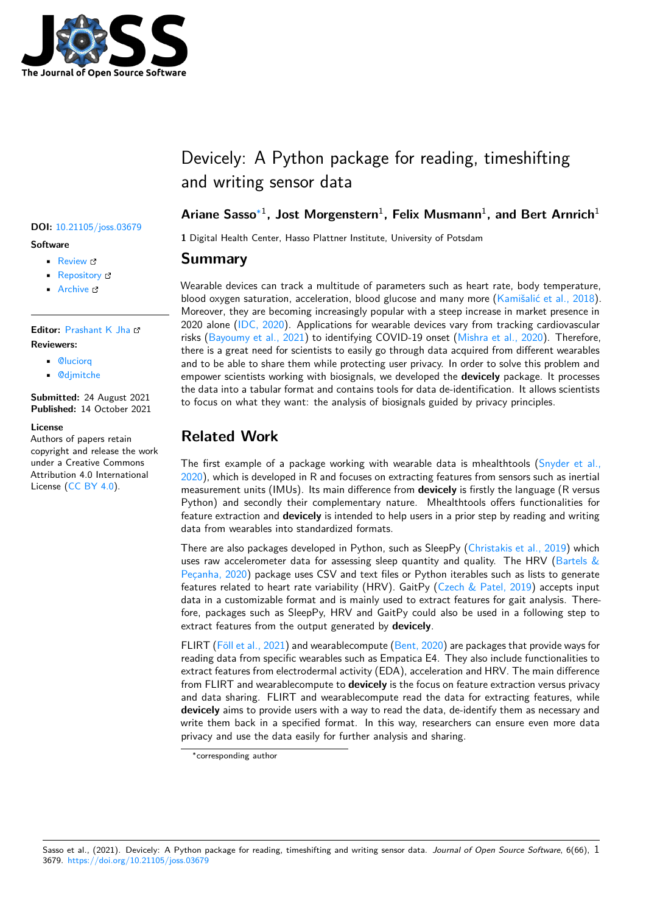

#### **DOI:** 10.21105/joss.03679

#### **Software**

- Review &
- [Repository](https://doi.org/10.21105/joss.03679) &
- Archive L'

**Editor:** [Prashant](https://github.com/hpi-dhc/devicely/) K Jha **Revie[wers:](https://doi.org/10.5281/zenodo.5243494)**

- @luciorq
- @[djmitche](https://prashjha.github.io/)

**Submitted:** 24 August 2021 **Publi[shed:](https://github.com/luciorq)** 14 October 2021

#### **License**

Autho[rs of paper](https://github.com/djmitche)s retain copyright and release the work under a Creative Commons Attribution 4.0 International License (CC BY 4.0).

# Devicely: A Python package for reading, timeshifting and writing sensor data

#### **Ariane Sasso**∗1 **, Jost Morgenstern**<sup>1</sup> **, Felix Musmann**<sup>1</sup> **, and Bert Arnrich**<sup>1</sup>

**1** Digital Health Center, Hasso Plattner Institute, University of Potsdam

#### **Summary**

Wearable devices can track a multitude of parameters such as heart rate, body temperature, blood oxygen saturation, acceleration, blood glucose and many more (Kamišalić et al., 2018). Moreover, they are becoming increasingly popular with a steep increase in market presence in 2020 alone (IDC, 2020). Applications for wearable devices vary from tracking cardiovascular risks (Bayoumy et al., 2021) to identifying COVID-19 onset (Mishra et al., 2020). Therefore, there is a great need for scientists to easily go through data acquired f[rom different wearable](#page-3-0)s and to be able to share them while protecting user privacy. In order to solve this problem and empower sci[entists wor](#page-3-1)king with biosignals, we developed the **devicely** package. It processes the d[ata into a tabular form](#page-2-0)at and contains tools for data de-i[dentification. It allo](#page-3-2)ws scientists to focus on what they want: the analysis of biosignals guided by privacy principles.

#### **Related Work**

The first example of a package working with wearable data is mhealthtools (Snyder et al., 2020), which is developed in R and focuses on extracting features from sensors such as inertial measurement units (IMUs). Its main difference from **devicely** is firstly the language (R versus Python) and secondly their complementary nature. Mhealthtools offers functionalities for feature extraction and **devicely** is intended to help users in a prior step by readi[ng and writing](#page-3-3) [data](#page-3-3) from wearables into standardized formats.

There are also packages developed in Python, such as SleepPy (Christakis et al., 2019) which uses raw accelerometer data for assessing sleep quantity and quality. The HRV (Bartels  $\&$ Peçanha, 2020) package uses CSV and text files or Python iterables such as lists to generate features related to heart rate variability (HRV). GaitPy (Czech & Patel, 2019) accepts input data in a customizable format and is mainly used to extract fea[tures for gait analysis.](#page-3-4) Therefore, packages such as SleepPy, HRV and GaitPy could also be used in a followi[ng step to](#page-2-1) [extract features](#page-2-1) from the output generated by **devicely**.

FLIRT (Föll et al., 2021) and wearablecompute (Bent, 202[0\) are packages that p](#page-3-5)rovide ways for reading data from specific wearables such as Empatica E4. They also include functionalities to extract features from electrodermal activity (EDA), acceleration and HRV. The main difference from FLIRT and wearablecompute to **devicely** is the focus on feature extraction versus privacy and dat[a sharing. FLIR](#page-3-6)T and wearablecomput[e read the](#page-3-7) data for extracting features, while **devicely** aims to provide users with a way to read the data, de-identify them as necessary and write them back in a specified format. In this way, researchers can ensure even more data privacy and use the data easily for further analysis and sharing.

Sasso et al., (2021). Devicely: A Python package for reading, timeshifting and writing sensor data. *Journal of Open Source Software*, 6(66), 13679. https://doi.org/10.21105/joss.03679

<sup>∗</sup>corresponding author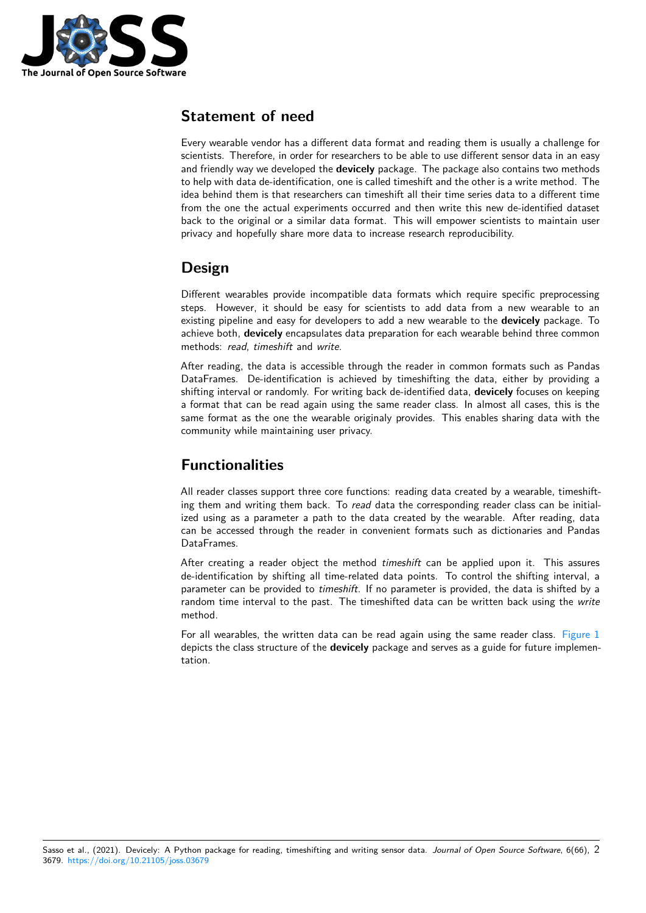

#### **Statement of need**

Every wearable vendor has a different data format and reading them is usually a challenge for scientists. Therefore, in order for researchers to be able to use different sensor data in an easy and friendly way we developed the **devicely** package. The package also contains two methods to help with data de-identification, one is called timeshift and the other is a write method. The idea behind them is that researchers can timeshift all their time series data to a different time from the one the actual experiments occurred and then write this new de-identified dataset back to the original or a similar data format. This will empower scientists to maintain user privacy and hopefully share more data to increase research reproducibility.

### **Design**

Different wearables provide incompatible data formats which require specific preprocessing steps. However, it should be easy for scientists to add data from a new wearable to an existing pipeline and easy for developers to add a new wearable to the **devicely** package. To achieve both, **devicely** encapsulates data preparation for each wearable behind three common methods: *read*, *timeshift* and *write*.

After reading, the data is accessible through the reader in common formats such as Pandas DataFrames. De-identification is achieved by timeshifting the data, either by providing a shifting interval or randomly. For writing back de-identified data, **devicely** focuses on keeping a format that can be read again using the same reader class. In almost all cases, this is the same format as the one the wearable originaly provides. This enables sharing data with the community while maintaining user privacy.

## **Functionalities**

All reader classes support three core functions: reading data created by a wearable, timeshifting them and writing them back. To *read* data the corresponding reader class can be initialized using as a parameter a path to the data created by the wearable. After reading, data can be accessed through the reader in convenient formats such as dictionaries and Pandas DataFrames.

After creating a reader object the method *timeshift* can be applied upon it. This assures de-identification by shifting all time-related data points. To control the shifting interval, a parameter can be provided to *timeshift*. If no parameter is provided, the data is shifted by a random time interval to the past. The timeshifted data can be written back using the *write* method.

For all wearables, the written data can be read again using the same reader class. Figure 1 depicts the class structure of the **devicely** package and serves as a guide for future implementation.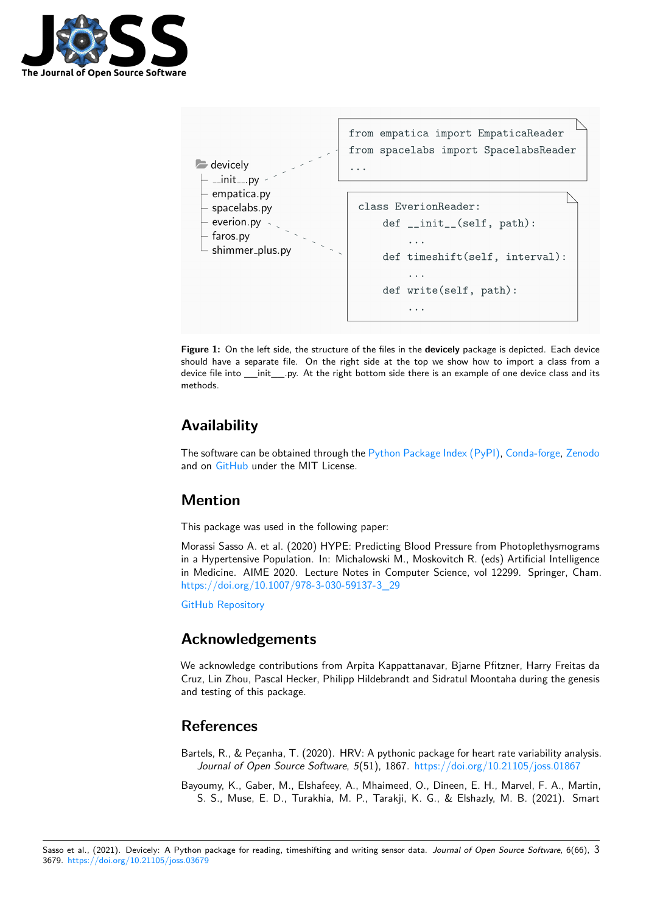



**Figure 1:** On the left side, the structure of the files in the **devicely** package is depicted. Each device should have a separate file. On the right side at the top we show how to import a class from a device file into \_\_init\_\_\_.py. At the right bottom side there is an example of one device class and its methods.

# **Availability**

The software can be obtained through the Python Package Index (PyPI), Conda-forge, Zenodo and on GitHub under the MIT License.

### **Mention**

This pa[ckage w](https://github.com/hpi-dhc/devicely)as used in the following paper:

Morassi Sasso A. et al. (2020) HYPE: Predicting Blood Pressure from Photoplethysmograms in a Hypertensive Population. In: Michalowski M., Moskovitch R. (eds) Artificial Intelligence in Medicine. AIME 2020. Lecture Notes in Computer Science, vol 12299. Springer, Cham. https://doi.org/10.1007/978-3-030-59137-3\_29

GitHub Repository

### **[Acknowledgements](https://doi.org/10.1007/978-3-030-59137-3_29)**

[We acknowledge co](https://github.com/arianesasso/aime-2020)ntributions from Arpita Kappattanavar, Bjarne Pfitzner, Harry Freitas da Cruz, Lin Zhou, Pascal Hecker, Philipp Hildebrandt and Sidratul Moontaha during the genesis and testing of this package.

### **References**

Bartels, R., & Peçanha, T. (2020). HRV: A pythonic package for heart rate variability analysis. *Journal of Open Source Software*, *5*(51), 1867. https://doi.org/10.21105/joss.01867

<span id="page-2-1"></span><span id="page-2-0"></span>Bayoumy, K., Gaber, M., Elshafeey, A., Mhaimeed, O., Dineen, E. H., Marvel, F. A., Martin, S. S., Muse, E. D., Turakhia, M. P., Tarakji, K. G., & Elshazly, M. B. (2021). Smart